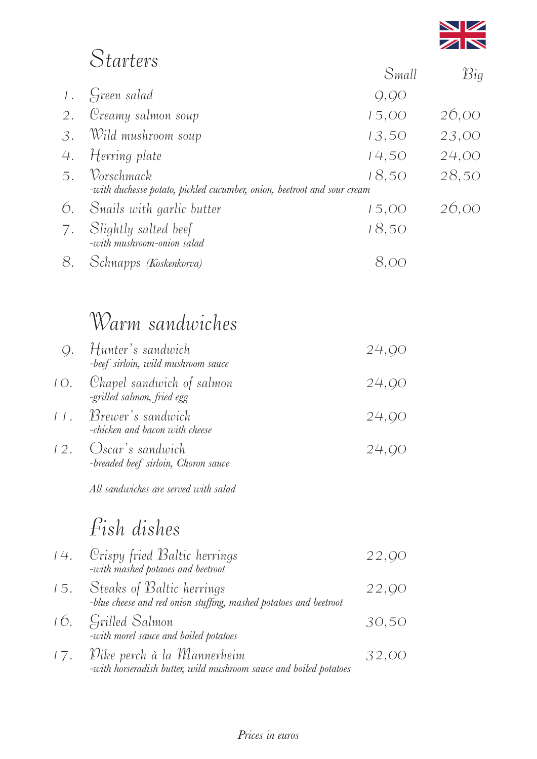

## Starters

|           |                                                                                       | Small | $\mathcal{B}ig$ |
|-----------|---------------------------------------------------------------------------------------|-------|-----------------|
| $\vert$ . | Green salad                                                                           | 9,90  |                 |
| 2.        | Creamy salmon soup                                                                    | 15,00 | 26,00           |
| $\beta$ . | Wild mushroom soup                                                                    | 13,50 | 23,00           |
| 4.        | Herring plate                                                                         | 14,50 | 24,00           |
| 5.        | Vorschmack<br>-with duchesse potato, pickled cucumber, onion, beetroot and sour cream | 18,50 | 28,50           |
| 0.        | Snails with garlic butter                                                             | 15,00 | 20,00           |
|           | Slightly salted beef<br>-with mushroom-onion salad                                    | 18,50 |                 |
| 8.        | Schnapps (Koskenkorva)                                                                |       |                 |

### Warm sandwiches

| $\mathcal{Q}$ . | Hunter's sandwich<br>-beef sirloin, wild mushroom sauce     | 24,00 |
|-----------------|-------------------------------------------------------------|-------|
|                 | 10. Chapel sandwich of salmon<br>-grilled salmon, fried egg | 24,00 |
|                 | 11. Brewer's sandwich<br>-chicken and bacon with cheese     | 24,00 |
|                 | 12. Oscar's sandwich<br>-breaded beef sirloin, Choron sauce | 24,00 |

*All sandwiches are served with salad*

## Fish dishes

| 14. Crispy fried Baltic herrings<br>-with mashed potaoes and beetroot                               | 22,QO |
|-----------------------------------------------------------------------------------------------------|-------|
| 15. Steaks of Baltic herrings<br>-blue cheese and red onion stuffing, mashed potatoes and beetroot  | 22,90 |
| 16. Grilled Salmon<br>-with morel sauce and boiled potatoes                                         | 30,50 |
| 17. Dike perch à la Mannerheim<br>-with horseradish butter, wild mushroom sauce and boiled potatoes | 32,00 |

#### *Prices in euros*